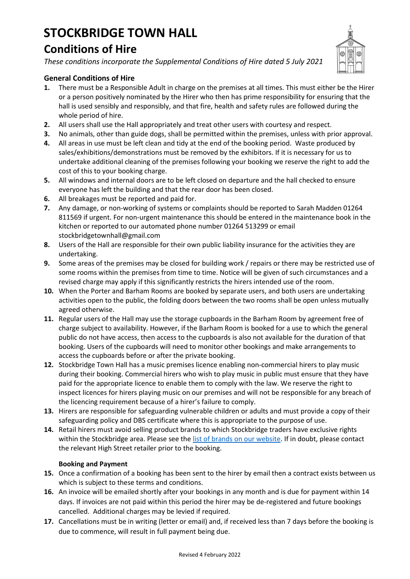# **STOCKBRIDGE TOWN HALL Conditions of Hire**

*These conditions incorporate the Supplemental Conditions of Hire dated 5 July 2021*



## **General Conditions of Hire**

- **1.** There must be a Responsible Adult in charge on the premises at all times. This must either be the Hirer or a person positively nominated by the Hirer who then has prime responsibility for ensuring that the hall is used sensibly and responsibly, and that fire, health and safety rules are followed during the whole period of hire.
- **2.** All users shall use the Hall appropriately and treat other users with courtesy and respect.
- **3.** No animals, other than guide dogs, shall be permitted within the premises, unless with prior approval.
- **4.** All areas in use must be left clean and tidy at the end of the booking period. Waste produced by sales/exhibitions/demonstrations must be removed by the exhibitors. If it is necessary for us to undertake additional cleaning of the premises following your booking we reserve the right to add the cost of this to your booking charge.
- **5.** All windows and internal doors are to be left closed on departure and the hall checked to ensure everyone has left the building and that the rear door has been closed.
- **6.** All breakages must be reported and paid for.
- **7.** Any damage, or non-working of systems or complaints should be reported to Sarah Madden 01264 811569 if urgent. For non-urgent maintenance this should be entered in the maintenance book in the kitchen or reported to our automated phone number 01264 513299 or email stockbridgetownhall@gmail.com
- **8.** Users of the Hall are responsible for their own public liability insurance for the activities they are undertaking.
- **9.** Some areas of the premises may be closed for building work / repairs or there may be restricted use of some rooms within the premises from time to time. Notice will be given of such circumstances and a revised charge may apply if this significantly restricts the hirers intended use of the room.
- **10.** When the Porter and Barham Rooms are booked by separate users, and both users are undertaking activities open to the public, the folding doors between the two rooms shall be open unless mutually agreed otherwise.
- **11.** Regular users of the Hall may use the storage cupboards in the Barham Room by agreement free of charge subject to availability. However, if the Barham Room is booked for a use to which the general public do not have access, then access to the cupboards is also not available for the duration of that booking. Users of the cupboards will need to monitor other bookings and make arrangements to access the cupboards before or after the private booking.
- **12.** Stockbridge Town Hall has a music premises licence enabling non-commercial hirers to play music during their booking. Commercial hirers who wish to play music in public must ensure that they have paid for the appropriate licence to enable them to comply with the law. We reserve the right to inspect licences for hirers playing music on our premises and will not be responsible for any breach of the licencing requirement because of a hirer's failure to comply.
- **13.** Hirers are responsible for safeguarding vulnerable children or adults and must provide a copy of their safeguarding policy and DBS certificate where this is appropriate to the purpose of use.
- **14.** Retail hirers must avoid selling product brands to which Stockbridge traders have exclusive rights within the Stockbridge area. Please see the [list of brands on our website.](http://www.stockbridgetownhall.co.uk/index.php?option=com_phocadownload&view=category&id=4:exclusive-suppliers&Itemid=418) If in doubt, please contact the relevant High Street retailer prior to the booking.

## **Booking and Payment**

- **15.** Once a confirmation of a booking has been sent to the hirer by email then a contract exists between us which is subject to these terms and conditions.
- **16.** An invoice will be emailed shortly after your bookings in any month and is due for payment within 14 days. If invoices are not paid within this period the hirer may be de-registered and future bookings cancelled. Additional charges may be levied if required.
- **17.** Cancellations must be in writing (letter or email) and, if received less than 7 days before the booking is due to commence, will result in full payment being due.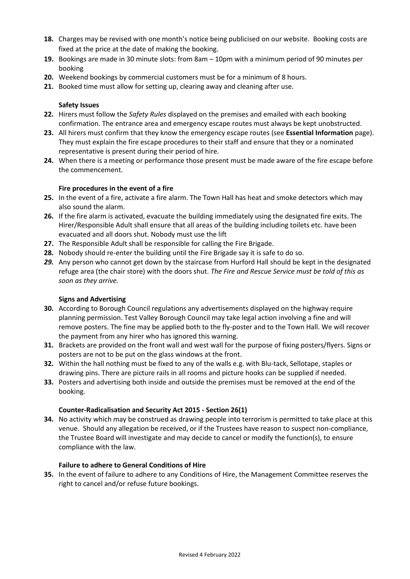- **18.** Charges may be revised with one month's notice being publicised on our website. Booking costs are fixed at the price at the date of making the booking.
- **19.** Bookings are made in 30 minute slots: from 8am 10pm with a minimum period of 90 minutes per booking
- **20.** Weekend bookings by commercial customers must be for a minimum of 8 hours.
- **21.** Booked time must allow for setting up, clearing away and cleaning after use.

#### **Safety Issues**

- **22.** Hirers must follow the *Safety Rules* displayed on the premises and emailed with each booking confirmation. The entrance area and emergency escape routes must always be kept unobstructed.
- **23.** All hirers must confirm that they know the emergency escape routes (see **Essential Information** page). They must explain the fire escape procedures to their staff and ensure that they or a nominated representative is present during their period of hire.
- **24.** When there is a meeting or performance those present must be made aware of the fire escape before the commencement.

#### **Fire procedures in the event of a fire**

- **25.** In the event of a fire, activate a fire alarm. The Town Hall has heat and smoke detectors which may also sound the alarm.
- **26.** If the fire alarm is activated, evacuate the building immediately using the designated fire exits. The Hirer/Responsible Adult shall ensure that all areas of the building including toilets etc. have been evacuated and all doors shut. Nobody must use the lift
- **27.** The Responsible Adult shall be responsible for calling the Fire Brigade.
- **28.** Nobody should re-enter the building until the Fire Brigade say it is safe to do so.
- *29.* Any person who cannot get down by the staircase from Hurford Hall should be kept in the designated refuge area (the chair store) with the doors shut. *The Fire and Rescue Service must be told of this as soon as they arrive.*

#### **Signs and Advertising**

- **30.** According to Borough Council regulations any advertisements displayed on the highway require planning permission. Test Valley Borough Council may take legal action involving a fine and will remove posters. The fine may be applied both to the fly-poster and to the Town Hall. We will recover the payment from any hirer who has ignored this warning.
- **31.** Brackets are provided on the front wall and west wall for the purpose of fixing posters/flyers. Signs or posters are not to be put on the glass windows at the front.
- **32.** Within the hall nothing must be fixed to any of the walls e.g. with Blu-tack, Sellotape, staples or drawing pins. There are picture rails in all rooms and picture hooks can be supplied if needed.
- **33.** Posters and advertising both inside and outside the premises must be removed at the end of the booking.

#### **Counter-Radicalisation and Security Act 2015 - Section 26(1)**

**34.** No activity which may be construed as drawing people into terrorism is permitted to take place at this venue. Should any allegation be received, or if the Trustees have reason to suspect non-compliance, the Trustee Board will investigate and may decide to cancel or modify the function(s), to ensure compliance with the law.

#### **Failure to adhere to General Conditions of Hire**

**35.** In the event of failure to adhere to any Conditions of Hire, the Management Committee reserves the right to cancel and/or refuse future bookings.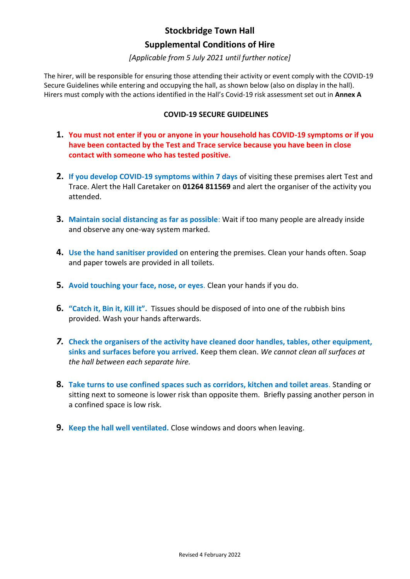# **Stockbridge Town Hall**

## **Supplemental Conditions of Hire**

## *[Applicable from 5 July 2021 until further notice]*

The hirer, will be responsible for ensuring those attending their activity or event comply with the COVID-19 Secure Guidelines while entering and occupying the hall, as shown below (also on display in the hall). Hirers must comply with the actions identified in the Hall's Covid-19 risk assessment set out in **Annex A** 

## **COVID-19 SECURE GUIDELINES**

- **1. You must not enter if you or anyone in your household has COVID-19 symptoms or if you have been contacted by the Test and Trace service because you have been in close contact with someone who has tested positive.**
- **2. If you develop COVID-19 symptoms within 7 days** of visiting these premises alert Test and Trace. Alert the Hall Caretaker on **01264 811569** and alert the organiser of the activity you attended.
- **3. Maintain social distancing as far as possible**: Wait if too many people are already inside and observe any one-way system marked.
- **4. Use the hand sanitiser provided** on entering the premises. Clean your hands often. Soap and paper towels are provided in all toilets.
- **5. Avoid touching your face, nose, or eyes**. Clean your hands if you do.
- **6. "Catch it, Bin it, Kill it".** Tissues should be disposed of into one of the rubbish bins provided. Wash your hands afterwards.
- *7.* **Check the organisers of the activity have cleaned door handles, tables, other equipment, sinks and surfaces before you arrived.** Keep them clean. *We cannot clean all surfaces at the hall between each separate hire.*
- **8. Take turns to use confined spaces such as corridors, kitchen and toilet areas**. Standing or sitting next to someone is lower risk than opposite them. Briefly passing another person in a confined space is low risk.
- **9. Keep the hall well ventilated.** Close windows and doors when leaving.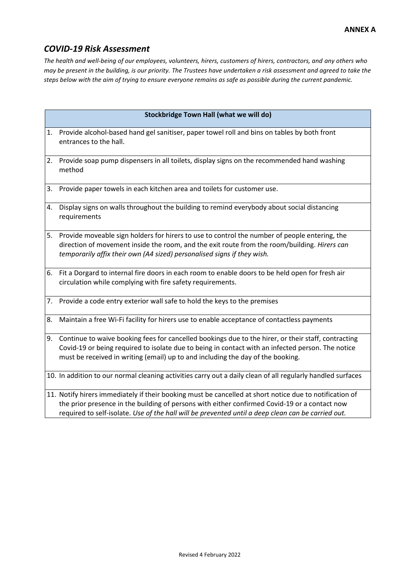# *COVID-19 Risk Assessment*

*The health and well-being of our employees, volunteers, hirers, customers of hirers, contractors, and any others who may be present in the building, is our priority. The Trustees have undertaken a risk assessment and agreed to take the steps below with the aim of trying to ensure everyone remains as safe as possible during the current pandemic.*

|    | Stockbridge Town Hall (what we will do)                                                                                                                                                                                                                                                                        |
|----|----------------------------------------------------------------------------------------------------------------------------------------------------------------------------------------------------------------------------------------------------------------------------------------------------------------|
| 1. | Provide alcohol-based hand gel sanitiser, paper towel roll and bins on tables by both front<br>entrances to the hall.                                                                                                                                                                                          |
|    | 2. Provide soap pump dispensers in all toilets, display signs on the recommended hand washing<br>method                                                                                                                                                                                                        |
| 3. | Provide paper towels in each kitchen area and toilets for customer use.                                                                                                                                                                                                                                        |
|    | 4. Display signs on walls throughout the building to remind everybody about social distancing<br>requirements                                                                                                                                                                                                  |
| 5. | Provide moveable sign holders for hirers to use to control the number of people entering, the<br>direction of movement inside the room, and the exit route from the room/building. Hirers can<br>temporarily affix their own (A4 sized) personalised signs if they wish.                                       |
| 6. | Fit a Dorgard to internal fire doors in each room to enable doors to be held open for fresh air<br>circulation while complying with fire safety requirements.                                                                                                                                                  |
|    | 7. Provide a code entry exterior wall safe to hold the keys to the premises                                                                                                                                                                                                                                    |
| 8. | Maintain a free Wi-Fi facility for hirers use to enable acceptance of contactless payments                                                                                                                                                                                                                     |
|    | 9. Continue to waive booking fees for cancelled bookings due to the hirer, or their staff, contracting<br>Covid-19 or being required to isolate due to being in contact with an infected person. The notice<br>must be received in writing (email) up to and including the day of the booking.                 |
|    | 10. In addition to our normal cleaning activities carry out a daily clean of all regularly handled surfaces                                                                                                                                                                                                    |
|    | 11. Notify hirers immediately if their booking must be cancelled at short notice due to notification of<br>the prior presence in the building of persons with either confirmed Covid-19 or a contact now<br>required to self-isolate. Use of the hall will be prevented until a deep clean can be carried out. |